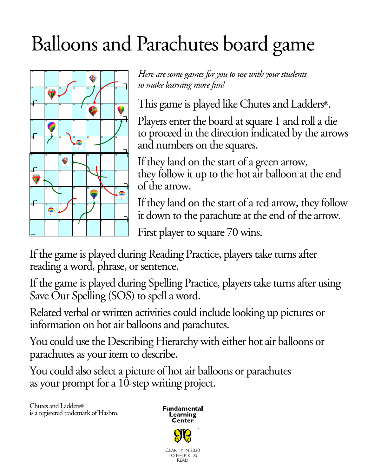## Balloons and Parachutes board game



*Here are some games for you to use with your students to make learning more fun!*

This game is played like Chutes and Ladders®.

Players enter the board at square 1 and roll a die to proceed in the direction indicated by the arrows and numbers on the squares.

If they land on the start of a green arrow, they follow it up to the hot air balloon at the end of the arrow.

If they land on the start of a red arrow, they follow it down to the parachute at the end of the arrow.

First player to square 70 wins.

If the game is played during Reading Practice, players take turns after reading a word, phrase, or sentence.

If the game is played during Spelling Practice, players take turns after using Save Our Spelling (SOS) to spell a word.

Related verbal or written activities could include looking up pictures or information on hot air balloons and parachutes.

You could use the Describing Hierarchy with either hot air balloons or parachutes as your item to describe.

You could also select a picture of hot air balloons or parachutes as your prompt for a 10-step writing project.

Chutes and Ladders® is a registered trademark of Hasbro.



READ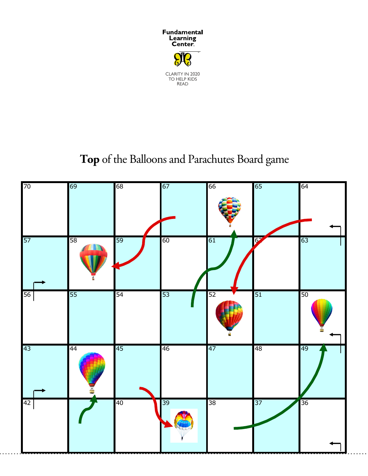

## **Top** of the Balloons and Parachutes Board game